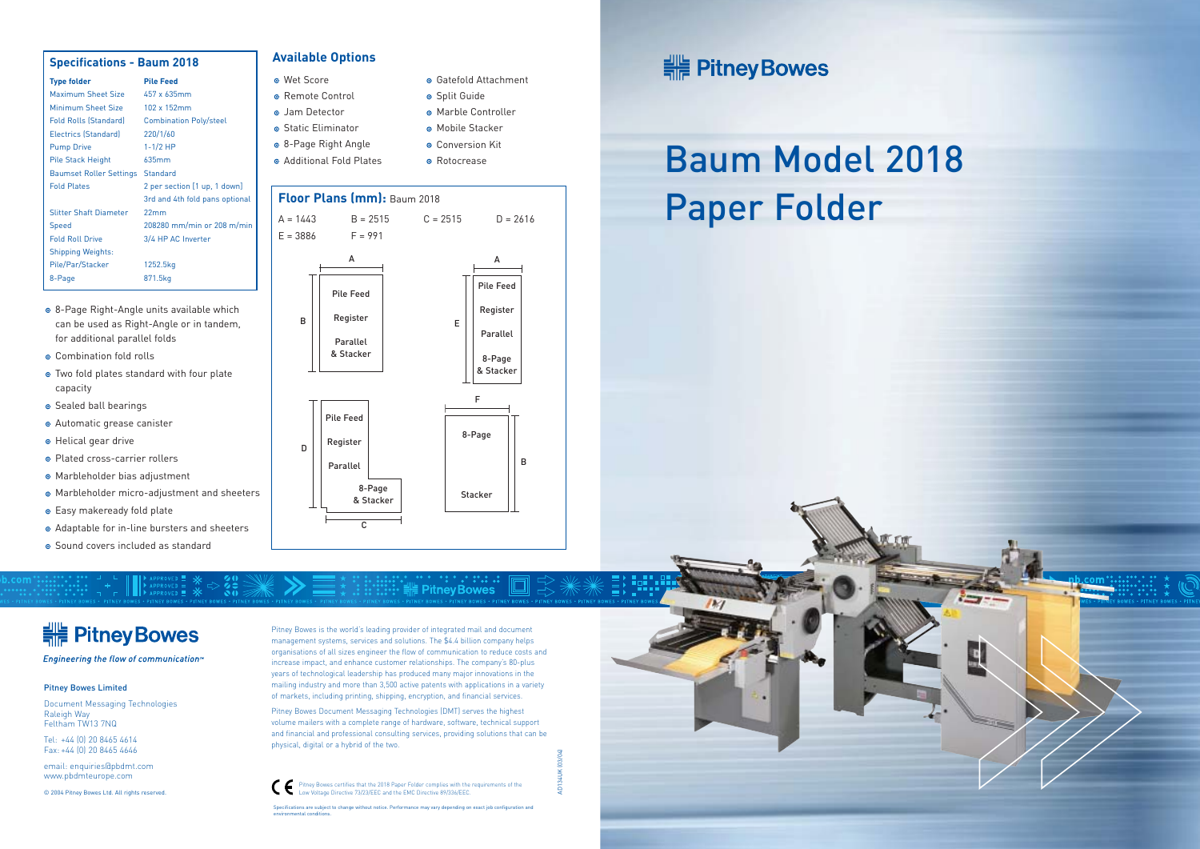# Baum Model 2018 Paper Folder

<del>:</del> Pitney Bowes

Engineering the flow of communication<sup>®</sup>

Pitney Bowes is the world's leading provider of integrated mail and document management systems, services and solutions. The \$4.4 billion company helps organisations of all sizes engineer the flow of communication to reduce costs and increase impact, and enhance customer relationships. The company's 80-plus years of technological leadership has produced many major innovations in the mailing industry and more than 3,500 active patents with applications in a variety of markets, including printing, shipping, encryption, and financial services.

**Pitney Bowes** 

Specifications are subject to change without notice. Performance may vary depending on exact job configuration and environmental conditions.

Pitney Bowes Document Messaging Technologies (DMT) serves the highest volume mailers with a complete range of hardware, software, technical support and financial and professional consulting services, providing solutions that can be physical, digital or a hybrid of the two.

AD134UK (03/04)





Pitney Bowes certifies that the 2018 Paper Folder complies with the requirements of the Low Voltage Directive 73/23/EEC and the EMC Directive 89/336/EEC.

#### Pitney Bowes Limited

Document Messaging Technologies Raleigh Way Feltham TW13 7NQ

Tel: +44 (0) 20 8465 4614 Fax: +44 (0) 20 8465 4646

email: enquiries@pbdmt.com www.pbdmteurope.com

- 8-Page Right-Angle units available which can be used as Right-Angle or in tandem, for additional parallel folds
- Combination fold rolls
- Two fold plates standard with four plate capacity
- Sealed ball bearings
- Automatic grease canister
- **•** Helical gear drive
- Plated cross-carrier rollers
- Marbleholder bias adjustment
- Marbleholder micro-adjustment and sheeters
- **•** Easy makeready fold plate
- Adaptable for in-line bursters and sheeters
- Sound covers included as standard

© 2004 Pitney Bowes Ltd. All rights reserved.

#### **Specifications - Baum 2018**

| <b>Type folder</b>             | <b>Pile Feed</b>               |
|--------------------------------|--------------------------------|
| Maximum Sheet Size             | 457 x 635mm                    |
| Minimum Sheet Size             | $102 \times 152$ mm            |
| <b>Fold Rolls (Standard)</b>   | <b>Combination Poly/steel</b>  |
| Electrics (Standard)           | 220/1/60                       |
| <b>Pump Drive</b>              | $1 - 1/2$ HP                   |
| Pile Stack Height              | 635mm                          |
| <b>Baumset Roller Settings</b> | Standard                       |
| <b>Fold Plates</b>             | 2 per section [1 up, 1 down]   |
|                                | 3rd and 4th fold pans optional |
| <b>Slitter Shaft Diameter</b>  | 22mm                           |
| Speed                          | 208280 mm/min or 208 m/min     |
| <b>Fold Roll Drive</b>         | 3/4 HP AC Inverter             |
| <b>Shipping Weights:</b>       |                                |
| Pile/Par/Stacker               | 1252.5kg                       |
| 8-Page                         | 871.5kg                        |
|                                |                                |

#### **Available Options**

- Wet Score
- **•** Remote Control
- Jam Detector
- **•** Static Fliminator
- 8-Page Right Angle
- Additional Fold Plates

Gatefold Attachment

• Marble Controller Mobile Stacker **O** Conversion Kit • Rotocrease

**o** Split Guide

#### **Floor Plans (mm):** Baum 2018



# **HE Pitney Bowes**